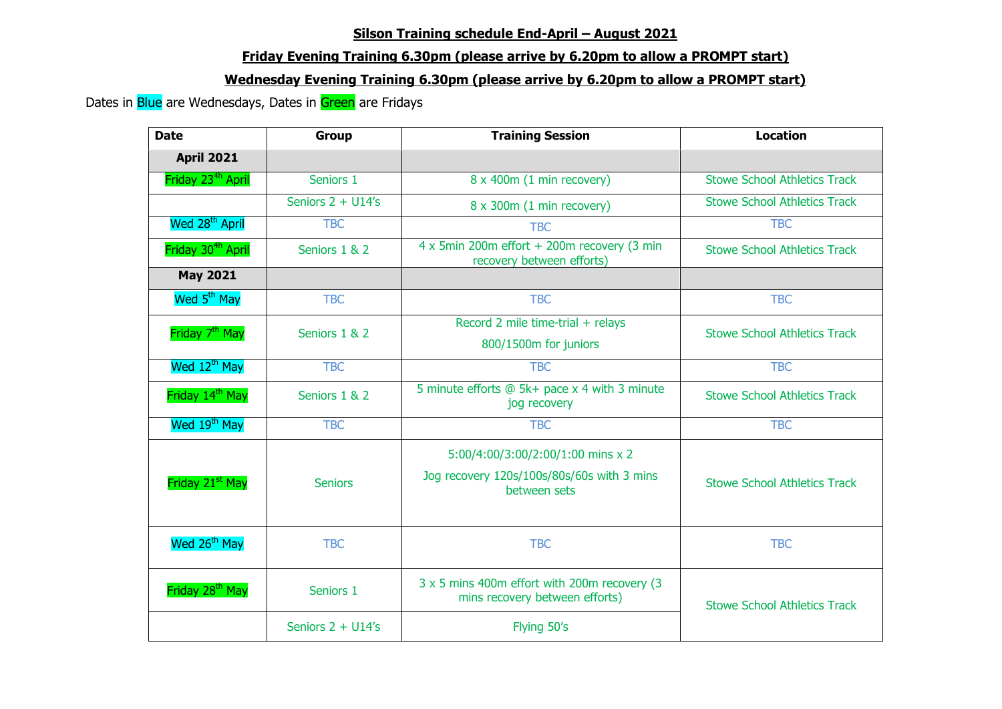## **Silson Training schedule End-April – August 2021**

## **Friday Evening Training 6.30pm (please arrive by 6.20pm to allow a PROMPT start)**

## **Wednesday Evening Training 6.30pm (please arrive by 6.20pm to allow a PROMPT start)**

Dates in Blue are Wednesdays, Dates in Green are Fridays

| <b>Date</b>                   | <b>Group</b>         | <b>Training Session</b>                                                                         | <b>Location</b>                     |
|-------------------------------|----------------------|-------------------------------------------------------------------------------------------------|-------------------------------------|
| <b>April 2021</b>             |                      |                                                                                                 |                                     |
| Friday 23 <sup>4h</sup> April | Seniors 1            | 8 x 400m (1 min recovery)                                                                       | <b>Stowe School Athletics Track</b> |
|                               | Seniors $2 + U14$ 's | 8 x 300m (1 min recovery)                                                                       | <b>Stowe School Athletics Track</b> |
| Wed 28 <sup>th</sup> April    | <b>TBC</b>           | <b>TBC</b>                                                                                      | <b>TBC</b>                          |
| Friday 30 <sup>4h</sup> April | Seniors 1 & 2        | 4 x 5min 200m effort + 200m recovery (3 min<br>recovery between efforts)                        | <b>Stowe School Athletics Track</b> |
| <b>May 2021</b>               |                      |                                                                                                 |                                     |
| Wed 5 <sup>th</sup> May       | <b>TBC</b>           | <b>TBC</b>                                                                                      | <b>TBC</b>                          |
| Friday 7 <sup>th</sup> May    | Seniors 1 & 2        | Record 2 mile time-trial + relays<br>800/1500m for juniors                                      | <b>Stowe School Athletics Track</b> |
| Wed 12 <sup>th</sup> May      | <b>TBC</b>           | <b>TBC</b>                                                                                      | <b>TBC</b>                          |
| Friday 14 <sup>th</sup> May   | Seniors 1 & 2        | 5 minute efforts @ 5k+ pace x 4 with 3 minute<br>jog recovery                                   | <b>Stowe School Athletics Track</b> |
| Wed 19 <sup>th</sup> May      | <b>TBC</b>           | <b>TBC</b>                                                                                      | <b>TBC</b>                          |
| Friday 21 <sup>st</sup> May   | <b>Seniors</b>       | 5:00/4:00/3:00/2:00/1:00 mins x 2<br>Jog recovery 120s/100s/80s/60s with 3 mins<br>between sets | <b>Stowe School Athletics Track</b> |
| Wed 26 <sup>th</sup> May      | <b>TBC</b>           | <b>TBC</b>                                                                                      | <b>TBC</b>                          |
| Friday 28 <sup>th</sup> May   | Seniors 1            | 3 x 5 mins 400m effort with 200m recovery (3<br>mins recovery between efforts)                  | <b>Stowe School Athletics Track</b> |
|                               | Seniors 2 + U14's    | Flying 50's                                                                                     |                                     |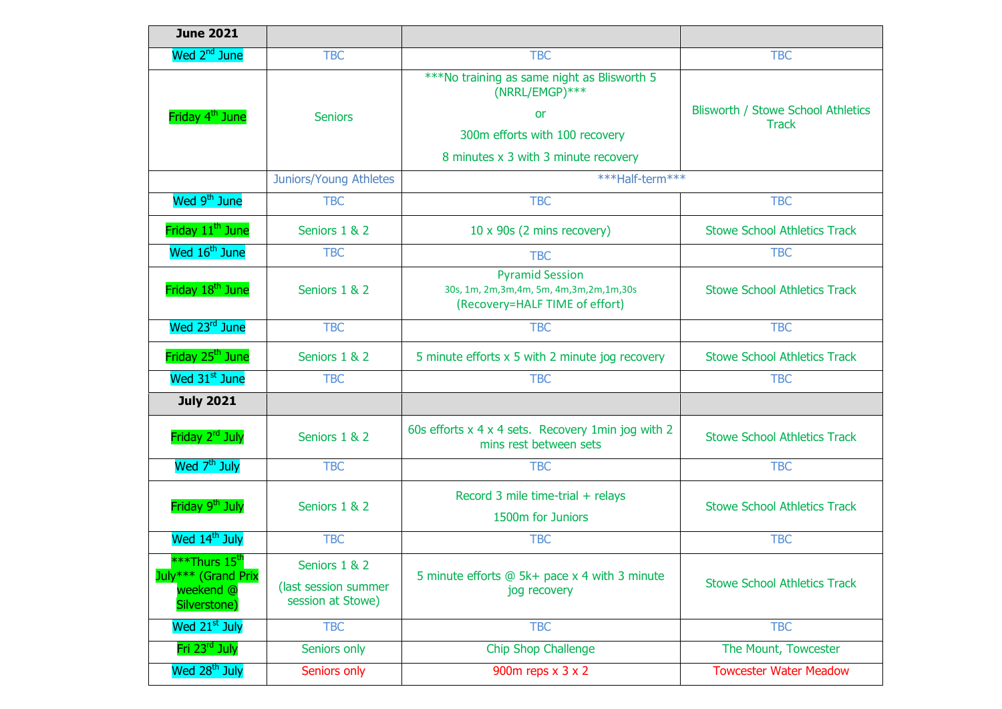| <b>June 2021</b>                                 |                                                            |                                                                                                          |                                                    |
|--------------------------------------------------|------------------------------------------------------------|----------------------------------------------------------------------------------------------------------|----------------------------------------------------|
| Wed 2 <sup>nd</sup> June                         | <b>TBC</b>                                                 | <b>TBC</b>                                                                                               | <b>TBC</b>                                         |
|                                                  |                                                            | ***No training as same night as Blisworth 5<br>(NRRL/EMGP)***                                            |                                                    |
| Friday 4 <sup>th</sup> June                      | <b>Seniors</b>                                             | or                                                                                                       | Blisworth / Stowe School Athletics<br><b>Track</b> |
|                                                  |                                                            | 300m efforts with 100 recovery                                                                           |                                                    |
|                                                  |                                                            | 8 minutes x 3 with 3 minute recovery                                                                     |                                                    |
|                                                  | Juniors/Young Athletes                                     | ***Half-term***                                                                                          |                                                    |
| Wed 9 <sup>th</sup> June                         | <b>TBC</b>                                                 | <b>TBC</b>                                                                                               | <b>TBC</b>                                         |
| Friday 11 <sup>th</sup> June                     | Seniors 1 & 2                                              | 10 x 90s (2 mins recovery)                                                                               | <b>Stowe School Athletics Track</b>                |
| Wed 16 <sup>th</sup> June                        | <b>TBC</b>                                                 | <b>TBC</b>                                                                                               | <b>TBC</b>                                         |
| Friday 18 <sup>th</sup> June                     | Seniors 1 & 2                                              | <b>Pyramid Session</b><br>30s, 1m, 2m, 3m, 4m, 5m, 4m, 3m, 2m, 1m, 30s<br>(Recovery=HALF TIME of effort) | <b>Stowe School Athletics Track</b>                |
| Wed 23 <sup>rd</sup> June                        | <b>TBC</b>                                                 | <b>TBC</b>                                                                                               | <b>TBC</b>                                         |
| Friday 25 <sup>th</sup> June                     | Seniors 1 & 2                                              | 5 minute efforts $x$ 5 with 2 minute jog recovery                                                        | <b>Stowe School Athletics Track</b>                |
| Wed 31 <sup>st</sup> June                        | <b>TBC</b>                                                 | <b>TBC</b>                                                                                               | <b>TBC</b>                                         |
| <b>July 2021</b>                                 |                                                            |                                                                                                          |                                                    |
| Friday 2 <sup>rd</sup> July                      | Seniors 1 & 2                                              | 60s efforts x 4 x 4 sets. Recovery 1min jog with 2<br>mins rest between sets                             | <b>Stowe School Athletics Track</b>                |
| Wed 7 <sup>th</sup> July                         | <b>TBC</b>                                                 | <b>TBC</b>                                                                                               | <b>TBC</b>                                         |
| Friday 9 <sup>th</sup> July                      | Seniors 1 & 2                                              | Record 3 mile time-trial + relays<br>1500m for Juniors                                                   | <b>Stowe School Athletics Track</b>                |
| Wed 14 <sup>th</sup> July                        | <b>TBC</b>                                                 | <b>TBC</b>                                                                                               | <b>TBC</b>                                         |
| ***Thurs 15 <sup>th</sup><br>July*** (Grand Prix | Seniors 1 & 2<br>(last session summer<br>session at Stowe) | 5 minute efforts @ 5k+ pace x 4 with 3 minute<br>jog recovery                                            | <b>Stowe School Athletics Track</b>                |
| weekend @<br>Silverstone)                        |                                                            |                                                                                                          |                                                    |
| Wed 21 <sup>st</sup> July                        | <b>TBC</b>                                                 | <b>TBC</b>                                                                                               | <b>TBC</b>                                         |
| Fri 23 <sup>rd</sup> July                        | Seniors only                                               | Chip Shop Challenge                                                                                      | The Mount, Towcester                               |
| Wed 28 <sup>th</sup> July                        | Seniors only                                               | 900 $m$ reps $x$ 3 $x$ 2                                                                                 | <b>Towcester Water Meadow</b>                      |